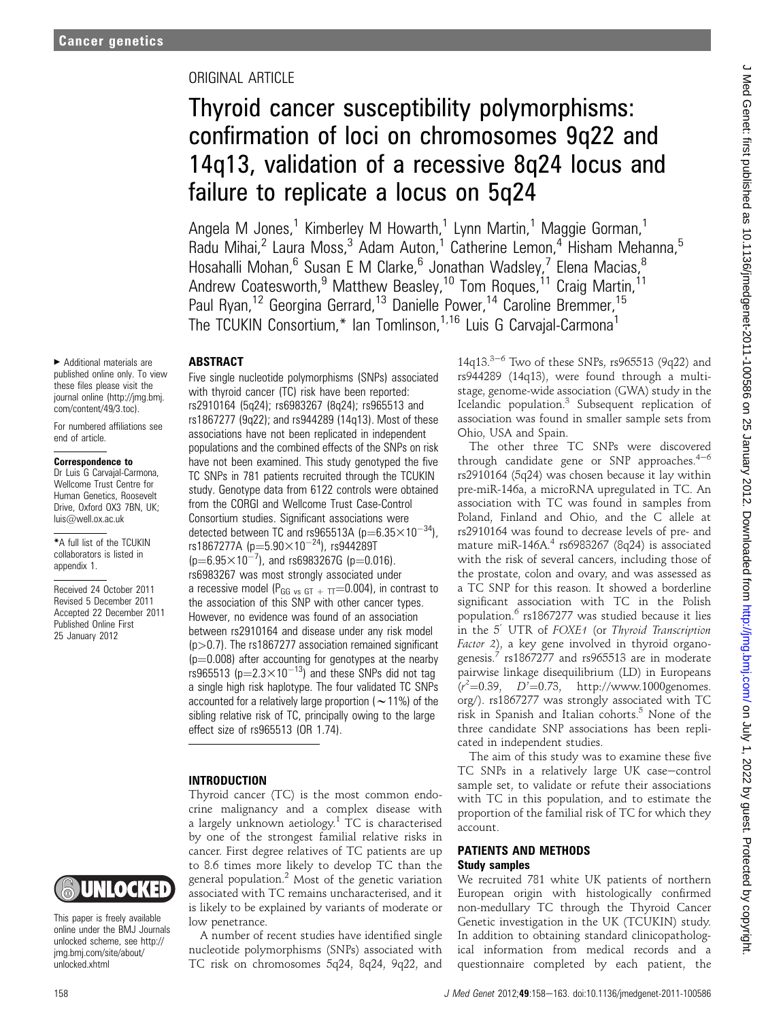## ORIGINAL ARTICLE

# Thyroid cancer susceptibility polymorphisms: confirmation of loci on chromosomes 9q22 and 14q13, validation of a recessive 8q24 locus and failure to replicate a locus on 5q24

Angela M Jones.<sup>1</sup> Kimberley M Howarth.<sup>1</sup> Lynn Martin.<sup>1</sup> Maggie Gorman.<sup>1</sup> Radu Mihai,<sup>2</sup> Laura Moss,<sup>3</sup> Adam Auton,<sup>1</sup> Catherine Lemon,<sup>4</sup> Hisham Mehanna,<sup>5</sup> Hosahalli Mohan,<sup>6</sup> Susan E M Clarke,<sup>6</sup> Jonathan Wadsley,<sup>7</sup> Elena Macias,<sup>8</sup> Andrew Coatesworth,<sup>9</sup> Matthew Beasley,<sup>10</sup> Tom Roques,<sup>11</sup> Craig Martin,<sup>11</sup> Paul Ryan,<sup>12</sup> Georgina Gerrard,<sup>13</sup> Danielle Power,<sup>14</sup> Caroline Bremmer,<sup>15</sup> The TCUKIN Consortium,\* Ian Tomlinson,<sup>1,16</sup> Luis G Carvajal-Carmona<sup>1</sup>

#### ABSTRACT

< Additional materials are published online only. To view these files please visit the journal online (http://jmg.bmj. com/content/49/3.toc).

For numbered affiliations see end of article.

#### Correspondence to

Dr Luis G Carvajal-Carmona, Wellcome Trust Centre for Human Genetics, Roosevelt Drive, Oxford OX3 7BN, UK; luis@well.ox.ac.uk

\*A full list of the TCUKIN collaborators is listed in appendix 1.

Received 24 October 2011 Revised 5 December 2011 Accepted 22 December 2011 Published Online First 25 January 2012



This paper is freely available online under the BMJ Journals unlocked scheme, see http:// jmg.bmj.com/site/about/ unlocked.xhtml

Five single nucleotide polymorphisms (SNPs) associated with thyroid cancer (TC) risk have been reported: rs2910164 (5q24); rs6983267 (8q24); rs965513 and rs1867277 (9q22); and rs944289 (14q13). Most of these associations have not been replicated in independent populations and the combined effects of the SNPs on risk have not been examined. This study genotyped the five TC SNPs in 781 patients recruited through the TCUKIN study. Genotype data from 6122 controls were obtained from the CORGI and Wellcome Trust Case-Control Consortium studies. Significant associations were detected between TC and rs965513A ( $p=6.35\times10^{-34}$ ), rs1867277A ( $p=5.90\times10^{-24}$ ), rs944289T  $(p=6.95\times10^{-7})$ , and rs6983267G (p=0.016). rs6983267 was most strongly associated under a recessive model (P<sub>GG vs GT +  $\text{TT}$ =0.004), in contrast to</sub> the association of this SNP with other cancer types. However, no evidence was found of an association between rs2910164 and disease under any risk model  $(p>0.7)$ . The rs1867277 association remained significant  $(p=0.008)$  after accounting for genotypes at the nearby rs965513 ( $p=2.3\times10^{-13}$ ) and these SNPs did not tag a single high risk haplotype. The four validated TC SNPs accounted for a relatively large proportion ( $\sim$  11%) of the sibling relative risk of TC, principally owing to the large effect size of rs965513 (OR 1.74).

#### INTRODUCTION

Thyroid cancer (TC) is the most common endocrine malignancy and a complex disease with a largely unknown aetiology.<sup>1</sup> TC is characterised by one of the strongest familial relative risks in cancer. First degree relatives of TC patients are up to 8.6 times more likely to develop TC than the general population. $<sup>2</sup>$  Most of the genetic variation</sup> associated with TC remains uncharacterised, and it is likely to be explained by variants of moderate or low penetrance.

A number of recent studies have identified single nucleotide polymorphisms (SNPs) associated with TC risk on chromosomes 5q24, 8q24, 9q22, and  $14q13.<sup>3-6</sup>$  Two of these SNPs, rs965513 (9q22) and rs944289 (14q13), were found through a multistage, genome-wide association (GWA) study in the Icelandic population.<sup>3</sup> Subsequent replication of association was found in smaller sample sets from Ohio, USA and Spain.

The other three TC SNPs were discovered through candidate gene or SNP approaches. $4-6$ rs2910164 (5q24) was chosen because it lay within pre-miR-146a, a microRNA upregulated in TC. An association with TC was found in samples from Poland, Finland and Ohio, and the C allele at rs2910164 was found to decrease levels of pre- and mature miR-146A.<sup>4</sup> rs6983267 (8q24) is associated with the risk of several cancers, including those of the prostate, colon and ovary, and was assessed as a TC SNP for this reason. It showed a borderline significant association with TC in the Polish population.<sup>6</sup> rs1867277 was studied because it lies in the 5<sup>'</sup> UTR of FOXE1 (or Thyroid Transcription Factor 2), a key gene involved in thyroid organogenesis. $\frac{7}{7}$  rs1867277 and rs965513 are in moderate pairwise linkage disequilibrium (LD) in Europeans  $(r^2=0.39, D^2=0.73, \text{ http://www.1000genomes.}$ org/). rs1867277 was strongly associated with TC risk in Spanish and Italian cohorts. $5$  None of the three candidate SNP associations has been replicated in independent studies.

The aim of this study was to examine these five TC SNPs in a relatively large UK case-control sample set, to validate or refute their associations with TC in this population, and to estimate the proportion of the familial risk of TC for which they account.

#### PATIENTS AND METHODS Study samples

We recruited 781 white UK patients of northern European origin with histologically confirmed non-medullary TC through the Thyroid Cancer Genetic investigation in the UK (TCUKIN) study. In addition to obtaining standard clinicopathological information from medical records and a questionnaire completed by each patient, the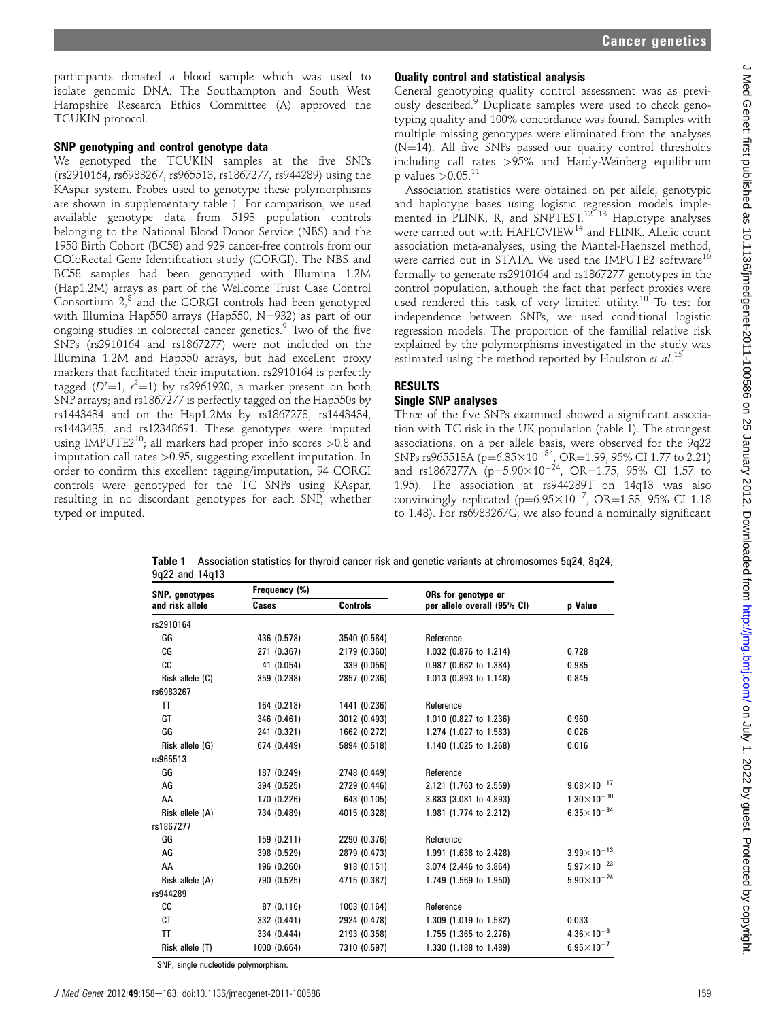participants donated a blood sample which was used to isolate genomic DNA. The Southampton and South West Hampshire Research Ethics Committee (A) approved the TCUKIN protocol.

#### SNP genotyping and control genotype data

We genotyped the TCUKIN samples at the five SNPs (rs2910164, rs6983267, rs965513, rs1867277, rs944289) using the KAspar system. Probes used to genotype these polymorphisms are shown in supplementary table 1. For comparison, we used available genotype data from 5193 population controls belonging to the National Blood Donor Service (NBS) and the 1958 Birth Cohort (BC58) and 929 cancer-free controls from our COloRectal Gene Identification study (CORGI). The NBS and BC58 samples had been genotyped with Illumina 1.2M (Hap1.2M) arrays as part of the Wellcome Trust Case Control Consortium  $2$ <sup>8</sup> and the CORGI controls had been genotyped with Illumina Hap550 arrays (Hap550, N=932) as part of our ongoing studies in colorectal cancer genetics.<sup>9</sup> Two of the five SNPs (rs2910164 and rs1867277) were not included on the Illumina 1.2M and Hap550 arrays, but had excellent proxy markers that facilitated their imputation. rs2910164 is perfectly tagged  $(D'=1, r^2=1)$  by rs2961920, a marker present on both SNP arrays; and rs1867277 is perfectly tagged on the Hap550s by rs1443434 and on the Hap1.2Ms by rs1867278, rs1443434, rs1443435, and rs12348691. These genotypes were imputed using IMPUTE2<sup>10</sup>; all markers had proper info scores  $>0.8$  and imputation call rates >0.95, suggesting excellent imputation. In order to confirm this excellent tagging/imputation, 94 CORGI controls were genotyped for the TC SNPs using KAspar, resulting in no discordant genotypes for each SNP, whether typed or imputed.

#### Quality control and statistical analysis

General genotyping quality control assessment was as previously described.<sup>9</sup> Duplicate samples were used to check genotyping quality and 100% concordance was found. Samples with multiple missing genotypes were eliminated from the analyses  $(N=14)$ . All five SNPs passed our quality control thresholds including call rates >95% and Hardy-Weinberg equilibrium p values  $> 0.05$ .<sup>11</sup>

Association statistics were obtained on per allele, genotypic and haplotype bases using logistic regression models implemented in PLINK, R, and SNPTEST.<sup>12</sup> <sup>13</sup> Haplotype analyses were carried out with HAPLOVIEW<sup>14</sup> and PLINK. Allelic count association meta-analyses, using the Mantel-Haenszel method, were carried out in STATA. We used the IMPUTE2 software<sup>10</sup> formally to generate rs2910164 and rs1867277 genotypes in the control population, although the fact that perfect proxies were used rendered this task of very limited utility.<sup>10</sup> To test for independence between SNPs, we used conditional logistic regression models. The proportion of the familial relative risk explained by the polymorphisms investigated in the study was estimated using the method reported by Houlston et al.<sup>15</sup>

# RESULTS

## Single SNP analyses

Three of the five SNPs examined showed a significant association with TC risk in the UK population (table 1). The strongest associations, on a per allele basis, were observed for the 9q22 SNPs rs965513A ( $p=6.35\times10^{-34}$ , OR = 1.99, 95% CI 1.77 to 2.21) and rs1867277A ( $p=5.90\times10^{-24}$ , OR=1.75, 95% CI 1.57 to 1.95). The association at rs944289T on 14q13 was also convincingly replicated ( $p=6.95\times10^{-7}$ , OR=1.33, 95% CI 1.18 to 1.48). For rs6983267G, we also found a nominally significant

Table 1 Association statistics for thyroid cancer risk and genetic variants at chromosomes 5q24, 8q24, 9q22 and 14q13

| SNP, genotypes  | Frequency (%) |                 | ORs for genotype or         |                       |  |
|-----------------|---------------|-----------------|-----------------------------|-----------------------|--|
| and risk allele | Cases         | <b>Controls</b> | per allele overall (95% CI) | p Value               |  |
| rs2910164       |               |                 |                             |                       |  |
| GG              | 436 (0.578)   | 3540 (0.584)    | Reference                   |                       |  |
| CG              | 271 (0.367)   | 2179 (0.360)    | 1.032 (0.876 to 1.214)      | 0.728                 |  |
| CC              | 41 (0.054)    | 339 (0.056)     | 0.987 (0.682 to 1.384)      | 0.985                 |  |
| Risk allele (C) | 359 (0.238)   | 2857 (0.236)    | 1.013 (0.893 to 1.148)      | 0.845                 |  |
| rs6983267       |               |                 |                             |                       |  |
| TT              | 164 (0.218)   | 1441 (0.236)    | Reference                   |                       |  |
| GT              | 346 (0.461)   | 3012 (0.493)    | 1.010 (0.827 to 1.236)      | 0.960                 |  |
| GG              | 241 (0.321)   | 1662 (0.272)    | 1.274 (1.027 to 1.583)      | 0.026                 |  |
| Risk allele (G) | 674 (0.449)   | 5894 (0.518)    | 1.140 (1.025 to 1.268)      | 0.016                 |  |
| rs965513        |               |                 |                             |                       |  |
| GG              | 187 (0.249)   | 2748 (0.449)    | Reference                   |                       |  |
| AG              | 394 (0.525)   | 2729 (0.446)    | 2.121 (1.763 to 2.559)      | $9.08\times10^{-17}$  |  |
| AA              | 170 (0.226)   | 643 (0.105)     | 3.883 (3.081 to 4.893)      | $1.30\times10^{-30}$  |  |
| Risk allele (A) | 734 (0.489)   | 4015 (0.328)    | 1.981 (1.774 to 2.212)      | $6.35\times10^{-34}$  |  |
| rs1867277       |               |                 |                             |                       |  |
| GG              | 159 (0.211)   | 2290 (0.376)    | Reference                   |                       |  |
| AG              | 398 (0.529)   | 2879 (0.473)    | 1.991 (1.638 to 2.428)      | $3.99\times10^{-13}$  |  |
| AA              | 196 (0.260)   | 918 (0.151)     | 3.074 (2.446 to 3.864)      | $5.97\times10^{-23}$  |  |
| Risk allele (A) | 790 (0.525)   | 4715 (0.387)    | 1.749 (1.569 to 1.950)      | $5.90\times10^{-24}$  |  |
| rs944289        |               |                 |                             |                       |  |
| cc              | 87 (0.116)    | 1003 (0.164)    | Reference                   |                       |  |
| <b>CT</b>       | 332 (0.441)   | 2924 (0.478)    | 1.309 (1.019 to 1.582)      | 0.033                 |  |
| <b>TT</b>       | 334 (0.444)   | 2193 (0.358)    | 1.755 (1.365 to 2.276)      | $4.36\times10^{-6}$   |  |
| Risk allele (T) | 1000 (0.664)  | 7310 (0.597)    | 1.330 (1.188 to 1.489)      | $6.95 \times 10^{-7}$ |  |

SNP, single nucleotide polymorphism.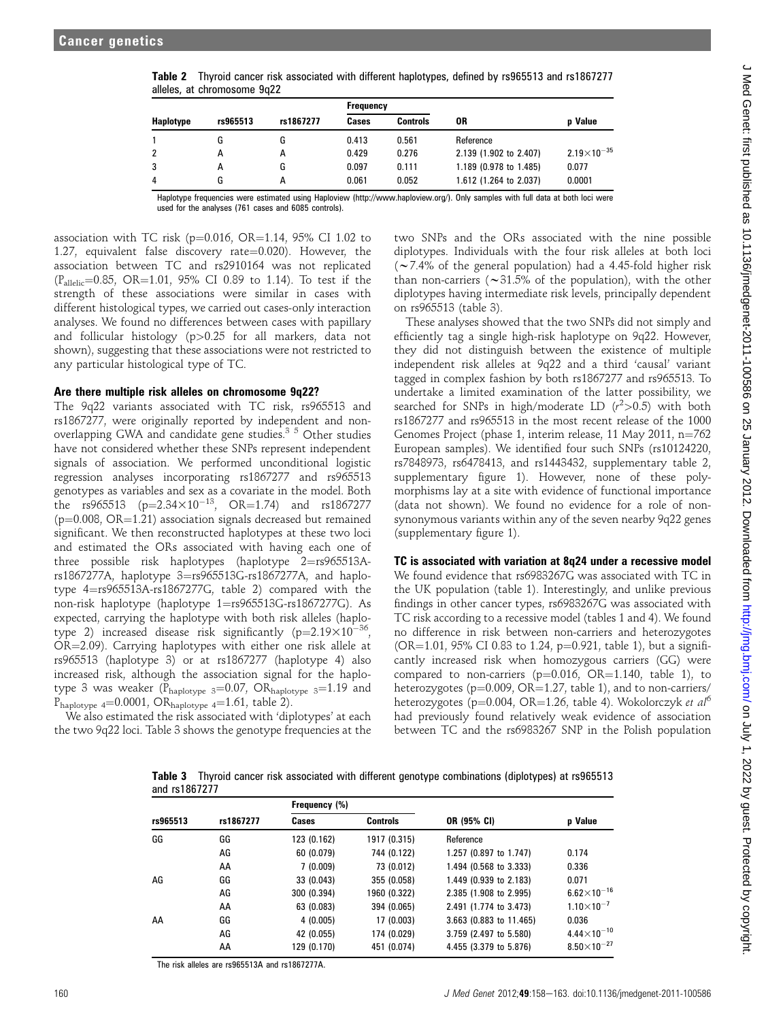|           |          |           | <b>Frequency</b> |                 |                        |                      |
|-----------|----------|-----------|------------------|-----------------|------------------------|----------------------|
| Haplotype | rs965513 | rs1867277 | Cases            | <b>Controls</b> | 0R                     | <b>p</b> Value       |
|           | G        | G         | 0.413            | 0.561           | Reference              |                      |
| 2         | А        | А         | 0.429            | 0.276           | 2.139 (1.902 to 2.407) | $2.19\times10^{-35}$ |
| 3         | А        | G         | 0.097            | 0.111           | 1.189 (0.978 to 1.485) | 0.077                |
| 4         | G        | А         | 0.061            | 0.052           | 1.612 (1.264 to 2.037) | 0.0001               |

|                             |  | Table 2 Thyroid cancer risk associated with different haplotypes, defined by rs965513 and rs1867277 |
|-----------------------------|--|-----------------------------------------------------------------------------------------------------|
| alleles, at chromosome 9q22 |  |                                                                                                     |

Haplotype frequencies were estimated using Haploview (http://www.haploview.org/). Only samples with full data at both loci were used for the analyses (761 cases and 6085 controls).

association with TC risk ( $p=0.016$ , OR=1.14, 95% CI 1.02 to 1.27, equivalent false discovery rate= $0.020$ ). However, the association between TC and rs2910164 was not replicated  $(P_{\text{allelic}}=0.85, \text{ OR} = 1.01, 95\% \text{ CI } 0.89 \text{ to } 1.14).$  To test if the strength of these associations were similar in cases with different histological types, we carried out cases-only interaction analyses. We found no differences between cases with papillary and follicular histology (p>0.25 for all markers, data not shown), suggesting that these associations were not restricted to any particular histological type of TC.

#### Are there multiple risk alleles on chromosome 9q22?

The 9q22 variants associated with TC risk, rs965513 and rs1867277, were originally reported by independent and nonoverlapping GWA and candidate gene studies.<sup>3 5</sup> Other studies have not considered whether these SNPs represent independent signals of association. We performed unconditional logistic regression analyses incorporating rs1867277 and rs965513 genotypes as variables and sex as a covariate in the model. Both the rs965513  $(p=2.34\times10^{-13}, \text{OR}=1.74)$  and rs1867277  $(p=0.008, OR=1.21)$  association signals decreased but remained significant. We then reconstructed haplotypes at these two loci and estimated the ORs associated with having each one of three possible risk haplotypes (haplotype  $2=rs965513A$ rs1867277A, haplotype 3=rs965513G-rs1867277A, and haplotype  $4=rs965513A-rs1867277G$ , table 2) compared with the non-risk haplotype (haplotype 1=rs965513G-rs1867277G). As expected, carrying the haplotype with both risk alleles (haplotype 2) increased disease risk significantly  $(p=2.19\times10^{-36},$  $OR = 2.09$ ). Carrying haplotypes with either one risk allele at rs965513 (haplotype 3) or at rs1867277 (haplotype 4) also increased risk, although the association signal for the haplotype 3 was weaker ( $P_{\text{haplotype}}$  3=0.07, OR $_{\text{haplotype}}$  3=1.19 and P<sub>haplotype</sub>  $_4=0.0001$ , OR<sub>haplotype</sub>  $_4=1.61$ , table 2).

We also estimated the risk associated with 'diplotypes' at each the two 9q22 loci. Table 3 shows the genotype frequencies at the

two SNPs and the ORs associated with the nine possible diplotypes. Individuals with the four risk alleles at both loci  $(\sim$  7.4% of the general population) had a 4.45-fold higher risk than non-carriers ( $\sim$ 31.5% of the population), with the other diplotypes having intermediate risk levels, principally dependent on rs965513 (table 3).

These analyses showed that the two SNPs did not simply and efficiently tag a single high-risk haplotype on 9q22. However, they did not distinguish between the existence of multiple independent risk alleles at 9q22 and a third 'causal' variant tagged in complex fashion by both rs1867277 and rs965513. To undertake a limited examination of the latter possibility, we searched for SNPs in high/moderate LD  $(r^2 > 0.5)$  with both rs1867277 and rs965513 in the most recent release of the 1000 Genomes Project (phase 1, interim release, 11 May 2011,  $n=762$ European samples). We identified four such SNPs (rs10124220, rs7848973, rs6478413, and rs1443432, supplementary table 2, supplementary figure 1). However, none of these polymorphisms lay at a site with evidence of functional importance (data not shown). We found no evidence for a role of nonsynonymous variants within any of the seven nearby 9q22 genes (supplementary figure 1).

#### TC is associated with variation at 8q24 under a recessive model

We found evidence that rs6983267G was associated with TC in the UK population (table 1). Interestingly, and unlike previous findings in other cancer types, rs6983267G was associated with TC risk according to a recessive model (tables 1 and 4). We found no difference in risk between non-carriers and heterozygotes (OR=1.01, 95% CI 0.83 to 1.24, p=0.921, table 1), but a significantly increased risk when homozygous carriers (GG) were compared to non-carriers ( $p=0.016$ , OR=1.140, table 1), to heterozygotes ( $p=0.009$ , OR=1.27, table 1), and to non-carriers/ heterozygotes (p=0.004, OR=1.26, table 4). Wokolorczyk et al<sup>6</sup> had previously found relatively weak evidence of association between TC and the rs6983267 SNP in the Polish population

Table 3 Thyroid cancer risk associated with different genotype combinations (diplotypes) at rs965513 and rs1867277

| rs965513 | rs1867277 | Frequency (%) |                 |                         |                      |
|----------|-----------|---------------|-----------------|-------------------------|----------------------|
|          |           | Cases         | <b>Controls</b> | OR (95% CI)             | p Value              |
| GG       | GG        | 123 (0.162)   | 1917 (0.315)    | Reference               |                      |
|          | AG        | 60 (0.079)    | 744 (0.122)     | 1.257 (0.897 to 1.747)  | 0.174                |
|          | AA        | 7(0.009)      | 73 (0.012)      | 1.494 (0.568 to 3.333)  | 0.336                |
| AG       | GG        | 33 (0.043)    | 355 (0.058)     | 1.449 (0.939 to 2.183)  | 0.071                |
|          | AG        | 300 (0.394)   | 1960 (0.322)    | 2.385 (1.908 to 2.995)  | $6.62\times10^{-16}$ |
|          | AA        | 63 (0.083)    | 394 (0.065)     | 2.491 (1.774 to 3.473)  | $1.10\times10^{-7}$  |
| AA       | GG        | 4(0.005)      | 17 (0.003)      | 3.663 (0.883 to 11.465) | 0.036                |
|          | AG        | 42 (0.055)    | 174 (0.029)     | 3.759 (2.497 to 5.580)  | $4.44\times10^{-10}$ |
|          | AA        | 129 (0.170)   | 451 (0.074)     | 4.455 (3.379 to 5.876)  | $8.50\times10^{-27}$ |

The risk alleles are rs965513A and rs1867277A.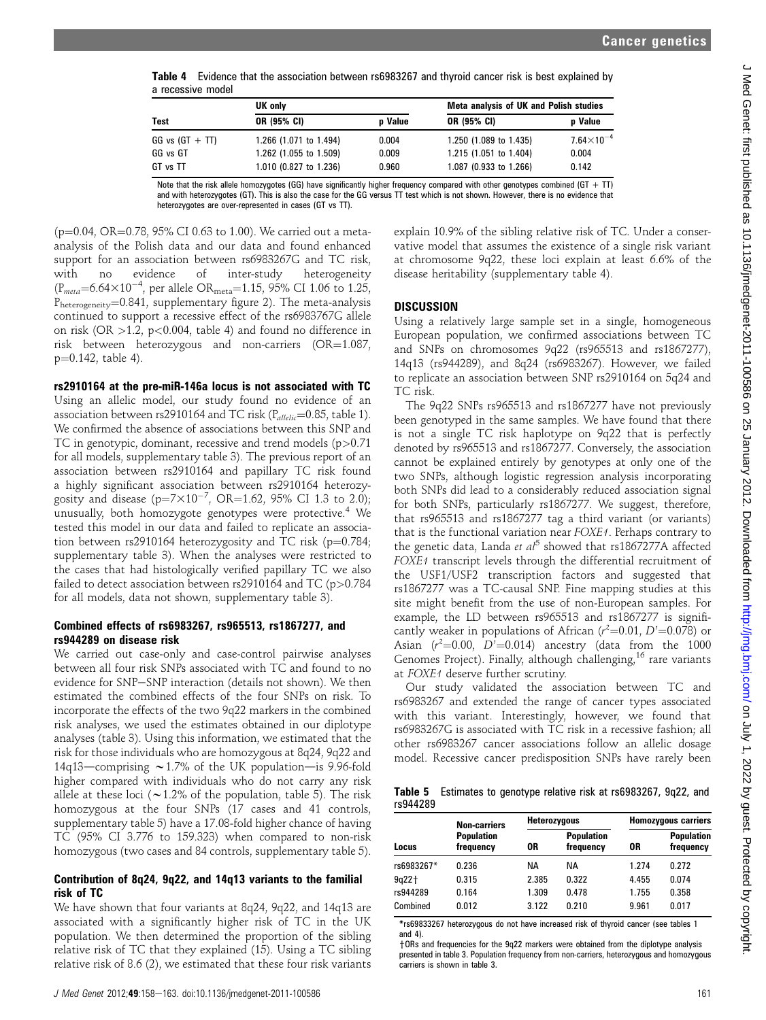Table 4 Evidence that the association between rs6983267 and thyroid cancer risk is best explained by a recessive model

|                   | UK only                |                | Meta analysis of UK and Polish studies |                     |  |
|-------------------|------------------------|----------------|----------------------------------------|---------------------|--|
| <b>Test</b>       | OR (95% CI)            | <b>p</b> Value | OR (95% CI)                            | <b>p</b> Value      |  |
| $GG vs (GT + TT)$ | 1.266 (1.071 to 1.494) | 0.004          | 1.250 (1.089 to 1.435)                 | $7.64\times10^{-4}$ |  |
| GG vs GT          | 1.262 (1.055 to 1.509) | 0.009          | 1.215 (1.051 to 1.404)                 | 0.004               |  |
| GT vs TT          | 1.010 (0.827 to 1.236) | 0.960          | 1.087 (0.933 to 1.266)                 | 0.142               |  |

Note that the risk allele homozygotes (GG) have significantly higher frequency compared with other genotypes combined (GT  $+$  TT) and with heterozygotes (GT). This is also the case for the GG versus TT test which is not shown. However, there is no evidence that heterozygotes are over-represented in cases (GT vs TT).

( $p=0.04$ , OR=0.78, 95% CI 0.63 to 1.00). We carried out a metaanalysis of the Polish data and our data and found enhanced support for an association between rs6983267G and TC risk,<br>with no evidence of inter-study heterogeneity with no evidence of inter-study heterogeneity  $(\text{P}_{meta}=6.64\times10^{-4}, \text{ per allele OR}_{meta}=1.15, 95\% \text{ CI } 1.06 \text{ to } 1.25,$  $P_{heterogeneity}$ =0.841, supplementary figure 2). The meta-analysis continued to support a recessive effect of the rs6983767G allele on risk (OR  $>1.2$ , p<0.004, table 4) and found no difference in risk between heterozygous and non-carriers  $(OR=1.087,$  $p=0.142$ , table 4).

rs2910164 at the pre-miR-146a locus is not associated with TC Using an allelic model, our study found no evidence of an association between rs2910164 and TC risk ( $P_{allelic}$ =0.85, table 1). We confirmed the absence of associations between this SNP and TC in genotypic, dominant, recessive and trend models (p>0.71 for all models, supplementary table 3). The previous report of an association between rs2910164 and papillary TC risk found a highly significant association between rs2910164 heterozygosity and disease ( $p=7\times10^{-7}$ , OR=1.62, 95% CI 1.3 to 2.0); unusually, both homozygote genotypes were protective.<sup>4</sup> We tested this model in our data and failed to replicate an association between rs2910164 heterozygosity and TC risk (p=0.784; supplementary table 3). When the analyses were restricted to the cases that had histologically verified papillary TC we also failed to detect association between rs2910164 and TC (p>0.784 for all models, data not shown, supplementary table 3).

#### Combined effects of rs6983267, rs965513, rs1867277, and rs944289 on disease risk

We carried out case-only and case-control pairwise analyses between all four risk SNPs associated with TC and found to no evidence for SNP-SNP interaction (details not shown). We then estimated the combined effects of the four SNPs on risk. To incorporate the effects of the two 9q22 markers in the combined risk analyses, we used the estimates obtained in our diplotype analyses (table 3). Using this information, we estimated that the risk for those individuals who are homozygous at 8q24, 9q22 and 14q13—comprising  $\sim$  1.7% of the UK population—is 9.96-fold higher compared with individuals who do not carry any risk allele at these loci ( $\sim$ 1.2% of the population, table 5). The risk homozygous at the four SNPs (17 cases and 41 controls, supplementary table 5) have a 17.08-fold higher chance of having TC (95% CI 3.776 to 159.323) when compared to non-risk homozygous (two cases and 84 controls, supplementary table 5).

#### Contribution of 8q24, 9q22, and 14q13 variants to the familial risk of TC

We have shown that four variants at 8q24, 9q22, and 14q13 are associated with a significantly higher risk of TC in the UK population. We then determined the proportion of the sibling relative risk of TC that they explained (15). Using a TC sibling relative risk of 8.6 (2), we estimated that these four risk variants

explain 10.9% of the sibling relative risk of TC. Under a conservative model that assumes the existence of a single risk variant at chromosome 9q22, these loci explain at least 6.6% of the disease heritability (supplementary table 4).

### **DISCUSSION**

Using a relatively large sample set in a single, homogeneous European population, we confirmed associations between TC and SNPs on chromosomes 9q22 (rs965513 and rs1867277), 14q13 (rs944289), and 8q24 (rs6983267). However, we failed to replicate an association between SNP rs2910164 on 5q24 and TC risk.

The 9q22 SNPs rs965513 and rs1867277 have not previously been genotyped in the same samples. We have found that there is not a single TC risk haplotype on 9q22 that is perfectly denoted by rs965513 and rs1867277. Conversely, the association cannot be explained entirely by genotypes at only one of the two SNPs, although logistic regression analysis incorporating both SNPs did lead to a considerably reduced association signal for both SNPs, particularly rs1867277. We suggest, therefore, that rs965513 and rs1867277 tag a third variant (or variants) that is the functional variation near FOXE1. Perhaps contrary to the genetic data, Landa et  $al^5$  showed that rs1867277A affected FOXE1 transcript levels through the differential recruitment of the USF1/USF2 transcription factors and suggested that rs1867277 was a TC-causal SNP. Fine mapping studies at this site might benefit from the use of non-European samples. For example, the LD between rs965513 and rs1867277 is significantly weaker in populations of African  $(r^2=0.01, D'=0.078)$  or Asian  $(r^2=0.00, D^2=0.014)$  ancestry (data from the 1000 Genomes Project). Finally, although challenging, $16$  rare variants at FOXE1 deserve further scrutiny.

Our study validated the association between TC and rs6983267 and extended the range of cancer types associated with this variant. Interestingly, however, we found that rs6983267G is associated with TC risk in a recessive fashion; all other rs6983267 cancer associations follow an allelic dosage model. Recessive cancer predisposition SNPs have rarely been

Table 5 Estimates to genotype relative risk at rs6983267, 9q22, and rs944289

| Locus      | <b>Non-carriers</b><br><b>Population</b><br>frequency |       | <b>Heterozygous</b>            |       | <b>Homozygous carriers</b>     |  |
|------------|-------------------------------------------------------|-------|--------------------------------|-------|--------------------------------|--|
|            |                                                       | 0R    | <b>Population</b><br>frequency | 0R    | <b>Population</b><br>frequency |  |
| rs6983267* | 0.236                                                 | NА    | NA                             | 1.274 | 0.272                          |  |
| $9a22+$    | 0.315                                                 | 2.385 | 0.322                          | 4.455 | 0.074                          |  |
| rs944289   | 0.164                                                 | 1.309 | 0.478                          | 1.755 | 0.358                          |  |
| Combined   | 0.012                                                 | 3.122 | 0.210                          | 9.961 | 0.017                          |  |

\*rs69833267 heterozygous do not have increased risk of thyroid cancer (see tables 1 and 4).

† ORs and frequencies for the 9q22 markers were obtained from the diplotype analysis presented in table 3. Population frequency from non-carriers, heterozygous and homozygous carriers is shown in table 3.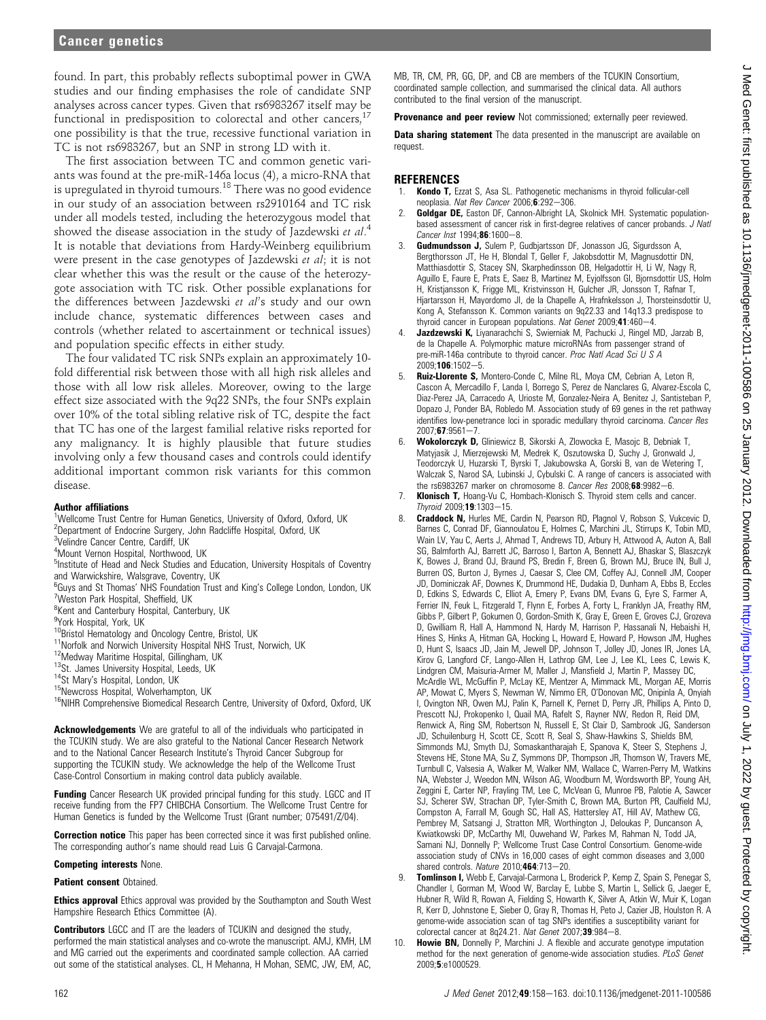found. In part, this probably reflects suboptimal power in GWA studies and our finding emphasises the role of candidate SNP analyses across cancer types. Given that rs6983267 itself may be functional in predisposition to colorectal and other cancers, $17$ one possibility is that the true, recessive functional variation in TC is not rs6983267, but an SNP in strong LD with it.

The first association between TC and common genetic variants was found at the pre-miR-146a locus (4), a micro-RNA that is upregulated in thyroid tumours.<sup>18</sup> There was no good evidence in our study of an association between rs2910164 and TC risk under all models tested, including the heterozygous model that showed the disease association in the study of Jazdewski et al.<sup>4</sup> It is notable that deviations from Hardy-Weinberg equilibrium were present in the case genotypes of Jazdewski et al; it is not clear whether this was the result or the cause of the heterozygote association with TC risk. Other possible explanations for the differences between Jazdewski et al's study and our own include chance, systematic differences between cases and controls (whether related to ascertainment or technical issues) and population specific effects in either study.

The four validated TC risk SNPs explain an approximately 10 fold differential risk between those with all high risk alleles and those with all low risk alleles. Moreover, owing to the large effect size associated with the 9q22 SNPs, the four SNPs explain over 10% of the total sibling relative risk of TC, despite the fact that TC has one of the largest familial relative risks reported for any malignancy. It is highly plausible that future studies involving only a few thousand cases and controls could identify additional important common risk variants for this common disease.

#### Author affiliations

- <sup>1</sup>Wellcome Trust Centre for Human Genetics, University of Oxford, Oxford, UK
- <sup>2</sup>Department of Endocrine Surgery, John Radcliffe Hospital, Oxford, UK
- <sup>3</sup>Velindre Cancer Centre, Cardiff, UK 4 Mount Vernon Hospital, Northwood, UK
- <sup>5</sup>Institute of Head and Neck Studies and Education, University Hospitals of Coventry and Warwickshire, Walsgrave, Coventry, UK
- <sup>6</sup>Guys and St Thomas' NHS Foundation Trust and King's College London, London, UK 7 Weston Park Hospital, Sheffield, UK
- <sup>8</sup> Kent and Canterbury Hospital, Canterbury, UK
- 9 York Hospital, York, UK
- 
- 
- 
- 
- 
- 
- <sup>10</sup>Bristol Hematology and Oncology Centre, Bristol, UK<br><sup>11</sup>Norfolk and Norwich University Hospital NHS Trust, Norwich, UK<br><sup>12</sup>Medway Maritime Hospital, Gillingham, UK<br><sup>13</sup>St. James University Hospital, Leeds, UK<br><sup>14</sup>St M

Acknowledgements We are grateful to all of the individuals who participated in the TCUKIN study. We are also grateful to the National Cancer Research Network and to the National Cancer Research Institute's Thyroid Cancer Subgroup for supporting the TCUKIN study. We acknowledge the help of the Wellcome Trust Case-Control Consortium in making control data publicly available.

Funding Cancer Research UK provided principal funding for this study. LGCC and IT receive funding from the FP7 CHIBCHA Consortium. The Wellcome Trust Centre for Human Genetics is funded by the Wellcome Trust (Grant number; 075491/Z/04).

**Correction notice** This paper has been corrected since it was first published online. The corresponding author's name should read Luis G Carvajal-Carmona.

#### Competing interests None.

**Patient consent Obtained.** 

**Ethics approval** Ethics approval was provided by the Southampton and South West Hampshire Research Ethics Committee (A).

Contributors LGCC and IT are the leaders of TCUKIN and designed the study, performed the main statistical analyses and co-wrote the manuscript. AMJ, KMH, LM and MG carried out the experiments and coordinated sample collection. AA carried out some of the statistical analyses. CL, H Mehanna, H Mohan, SEMC, JW, EM, AC,

MB, TR, CM, PR, GG, DP, and CB are members of the TCUKIN Consortium, coordinated sample collection, and summarised the clinical data. All authors contributed to the final version of the manuscript.

Provenance and peer review Not commissioned; externally peer reviewed.

**Data sharing statement** The data presented in the manuscript are available on request.

#### **REFERENCES**

- Kondo T, Ezzat S, Asa SL. Pathogenetic mechanisms in thyroid follicular-cell neoplasia. Nat Rev Cancer 2006;6:292-306.
- 2. **Goldgar DE,** Easton DF, Cannon-Albright LA, Skolnick MH. Systematic populationbased assessment of cancer risk in first-degree relatives of cancer probands. J Natl Cancer Inst 1994:86:1600-8.
- 3. Gudmundsson J, Sulem P, Gudbjartsson DF, Jonasson JG, Sigurdsson A Bergthorsson JT, He H, Blondal T, Geller F, Jakobsdottir M, Magnusdottir DN, Matthiasdottir S, Stacey SN, Skarphedinsson OB, Helgadottir H, Li W, Nagy R, Aguillo E, Faure E, Prats E, Saez B, Martinez M, Eyjolfsson GI, Bjornsdottir US, Holm H, Kristjansson K, Frigge ML, Kristvinsson H, Gulcher JR, Jonsson T, Rafnar T, Hjartarsson H, Mayordomo JI, de la Chapelle A, Hrafnkelsson J, Thorsteinsdottir U, Kong A, Stefansson K. Common variants on 9q22.33 and 14q13.3 predispose to thyroid cancer in European populations. Nat Genet 2009;41:460-4
- Jazdzewski K, Liyanarachchi S, Swierniak M, Pachucki J, Ringel MD, Jarzab B, de la Chapelle A. Polymorphic mature microRNAs from passenger strand of pre-miR-146a contribute to thyroid cancer. Proc Natl Acad Sci U S A  $2009:106:1502 - 5.$
- Ruiz-Llorente S, Montero-Conde C, Milne RL, Moya CM, Cebrian A, Leton R, Cascon A, Mercadillo F, Landa I, Borrego S, Perez de Nanclares G, Alvarez-Escola C, Diaz-Perez JA, Carracedo A, Urioste M, Gonzalez-Neira A, Benitez J, Santisteban P, Dopazo J, Ponder BA, Robledo M. Association study of 69 genes in the ret pathway identifies low-penetrance loci in sporadic medullary thyroid carcinoma. Cancer Res  $2007;$ 67:9561-7.
- Wokolorczyk D, Gliniewicz B, Sikorski A, Zlowocka E, Masojc B, Debniak T, Matyjasik J, Mierzejewski M, Medrek K, Oszutowska D, Suchy J, Gronwald J, Teodorczyk U, Huzarski T, Byrski T, Jakubowska A, Gorski B, van de Wetering T, Walczak S, Narod SA, Lubinski J, Cybulski C. A range of cancers is associated with the rs6983267 marker on chromosome 8. Cancer Res 2008;68:9982-6.
- 7. Klonisch T, Hoang-Vu C, Hombach-Klonisch S. Thyroid stem cells and cancer.  $Thyroid 2009; 19:1303 - 15.$
- 8. Craddock N, Hurles ME, Cardin N, Pearson RD, Plagnol V, Robson S, Vukcevic D, Barnes C, Conrad DF, Giannoulatou E, Holmes C, Marchini JL, Stirrups K, Tobin MD, Wain LV, Yau C, Aerts J, Ahmad T, Andrews TD, Arbury H, Attwood A, Auton A, Ball SG, Balmforth AJ, Barrett JC, Barroso I, Barton A, Bennett AJ, Bhaskar S, Blaszczyk K, Bowes J, Brand OJ, Braund PS, Bredin F, Breen G, Brown MJ, Bruce IN, Bull J, Burren OS, Burton J, Byrnes J, Caesar S, Clee CM, Coffey AJ, Connell JM, Cooper JD, Dominiczak AF, Downes K, Drummond HE, Dudakia D, Dunham A, Ebbs B, Eccles D, Edkins S, Edwards C, Elliot A, Emery P, Evans DM, Evans G, Eyre S, Farmer A, Ferrier IN, Feuk L, Fitzgerald T, Flynn E, Forbes A, Forty L, Franklyn JA, Freathy RM, Gibbs P, Gilbert P, Gokumen O, Gordon-Smith K, Gray E, Green E, Groves CJ, Grozeva D, Gwilliam R, Hall A, Hammond N, Hardy M, Harrison P, Hassanali N, Hebaishi H, Hines S, Hinks A, Hitman GA, Hocking L, Howard E, Howard P, Howson JM, Hughes D, Hunt S, Isaacs JD, Jain M, Jewell DP, Johnson T, Jolley JD, Jones IR, Jones LA, Kirov G, Langford CF, Lango-Allen H, Lathrop GM, Lee J, Lee KL, Lees C, Lewis K, Lindgren CM, Maisuria-Armer M, Maller J, Mansfield J, Martin P, Massey DC, McArdle WL, McGuffin P, McLay KE, Mentzer A, Mimmack ML, Morgan AE, Morris AP, Mowat C, Myers S, Newman W, Nimmo ER, O'Donovan MC, Onipinla A, Onyiah I, Ovington NR, Owen MJ, Palin K, Parnell K, Pernet D, Perry JR, Phillips A, Pinto D, Prescott NJ, Prokopenko I, Quail MA, Rafelt S, Rayner NW, Redon R, Reid DM, Renwick A, Ring SM, Robertson N, Russell E, St Clair D, Sambrook JG, Sanderson JD, Schuilenburg H, Scott CE, Scott R, Seal S, Shaw-Hawkins S, Shields BM, Simmonds MJ, Smyth DJ, Somaskantharajah E, Spanova K, Steer S, Stephens J, Stevens HE, Stone MA, Su Z, Symmons DP, Thompson JR, Thomson W, Travers ME, Turnbull C, Valsesia A, Walker M, Walker NM, Wallace C, Warren-Perry M, Watkins NA, Webster J, Weedon MN, Wilson AG, Woodburn M, Wordsworth BP, Young AH, Zeggini E, Carter NP, Frayling TM, Lee C, McVean G, Munroe PB, Palotie A, Sawcer SJ, Scherer SW, Strachan DP, Tyler-Smith C, Brown MA, Burton PR, Caulfield MJ, Compston A, Farrall M, Gough SC, Hall AS, Hattersley AT, Hill AV, Mathew CG, Pembrey M, Satsangi J, Stratton MR, Worthington J, Deloukas P, Duncanson A, Kwiatkowski DP, McCarthy MI, Ouwehand W, Parkes M, Rahman N, Todd JA, Samani NJ, Donnelly P; Wellcome Trust Case Control Consortium. Genome-wide association study of CNVs in 16,000 cases of eight common diseases and 3,000 shared controls. Nature 2010;464:713-20.
- Tomlinson I, Webb E, Carvajal-Carmona L, Broderick P, Kemp Z, Spain S, Penegar S, Chandler I, Gorman M, Wood W, Barclay E, Lubbe S, Martin L, Sellick G, Jaeger E, Hubner R, Wild R, Rowan A, Fielding S, Howarth K, Silver A, Atkin W, Muir K, Logan R, Kerr D, Johnstone E, Sieber O, Gray R, Thomas H, Peto J, Cazier JB, Houlston R. A genome-wide association scan of tag SNPs identifies a susceptibility variant for colorectal cancer at 8q24.21. Nat Genet  $2007; 39.984-8$ .
- 10. **Howie BN,** Donnelly P, Marchini J. A flexible and accurate genotype imputation method for the next generation of genome-wide association studies. PLoS Genet 2009;5:e1000529.